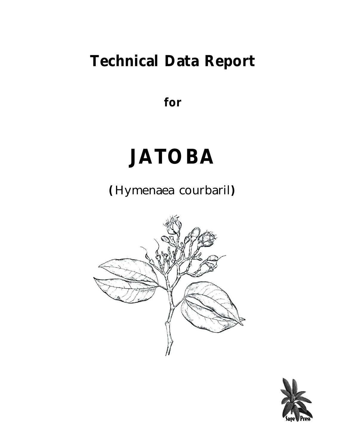## **Technical Data Report**

**for**

# **JATOBA**

**(***Hymenaea courbaril***)**



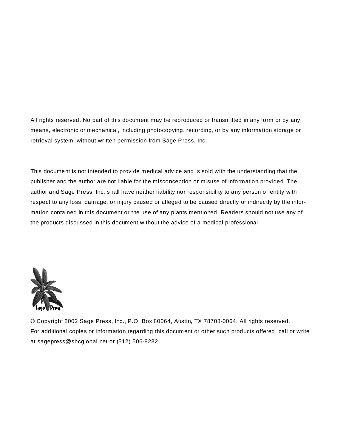All rights reserved. No part of this document may be reproduced or transmitted in any form or by any means, electronic or mechanical, including photocopying, recording, or by any information storage or retrieval system, without written permission from Sage Press, Inc.

This document is not intended to provide medical advice and is sold with the understanding that the publisher and the author are not liable for the misconception or misuse of information provided. The author and Sage Press, Inc. shall have neither liability nor responsibility to any person or entity with respect to any loss, damage, or injury caused or alleged to be caused directly or indirectly by the information contained in this document or the use of any plants mentioned. Readers should not use any of the products discussed in this document without the advice of a medical professional.



© Copyright 2002 Sage Press, Inc., P.O. Box 80064, Austin, TX 78708-0064. All rights reserved. For additional copies or information regarding this document or other such products offered, call or write at sagepress@sbcglobal.net or (512) 506-8282.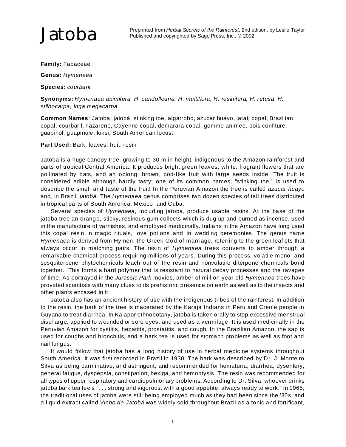**Family:** Fabaceae

**Genus:** *Hymenaea*

 **Species:** *courbaril*

 **Synonyms:** *Hymenaea animifera, H. candolleana, H. multiflora, H. resinifera, H. retusa, H. stilbocarpa, Inga megacarpa*

 **Common Names**: Jatoba, jatobá, stinking toe, algarrobo, azucar huayo, jataí, copal, Brazilian copal, courbaril, nazareno, Cayenne copal, demarara copal, gomme animee, pois confiture, guapinol, guapinole, loksi, South American locust

**Part Used:** Bark, leaves, fruit, resin

Jatoba is a huge canopy tree, growing to 30 m in height, indigenous to the Amazon rainforest and parts of tropical Central America. It produces bright green leaves, white, fragrant flowers that are pollinated by bats, and an oblong, brown, pod-like fruit with large seeds inside. The fruit is considered edible although hardly tasty; one of its common names, "stinking toe," is used to describe the smell and taste of the fruit! In the Peruvian Amazon the tree is called *azucar huayo* and, in Brazil, *jatobá*. The *Hymenaea* genus comprises two dozen species of tall trees distributed in tropical parts of South America, Mexico, and Cuba.

Several species of *Hymenaea,* including jatoba, produce usable resins. At the base of the jatoba tree an orange, sticky, resinous gum collects which is dug up and burned as incense, used in the manufacture of varnishes, and employed medicinally. Indians in the Amazon have long used this copal resin in magic rituals, love potions and in wedding ceremonies. The genus name *Hymenaea* is derived from Hymen, the Greek God of marriage, referring to the green leaflets that always occur in matching pairs. The resin of *Hymenaea* trees converts to amber through a remarkable chemical process requiring millions of years. During this process, volatile mono- and sesquiterpene phytochemicals leach out of the resin and nonvolatile diterpene chemicals bond together. This forms a hard polymer that is resistant to natural decay processes and the ravages of time. As portrayed in the *Jurassic Park* movies, amber of million-year-old *Hymenaea* trees have provided scientists with many clues to its prehistoric presence on earth as well as to the insects and other plants encased in it.

Jatoba also has an ancient history of use with the indigenous tribes of the rainforest. In addition to the resin, the bark of the tree is macerated by the Karaja Indians in Peru and Creole people in Guyana to treat diarrhea. In Ka'apor ethnobotany, jatoba is taken orally to stop excessive menstrual discharge, applied to wounded or sore eyes, and used as a vermifuge. It is used medicinally in the Peruvian Amazon for cystitis, hepatitis, prostatitis, and cough. In the Brazilian Amazon, the sap is used for coughs and bronchitis, and a bark tea is used for stomach problems as well as foot and nail fungus.

It would follow that jatoba has a long history of use in herbal medicine systems throughout South America. It was first recorded in Brazil in 1930. The bark was described by Dr. J. Monteiro Silva as being carminative, and astringent, and recommended for hematuria, diarrhea, dysentery, general fatigue, dyspepsia, constipation, bexiga, and hemoptysis. The resin was recommended for all types of upper respiratory and cardiopulmonary problems. According to Dr. Silva, whoever drinks jatoba bark tea feels ". . . strong and vigorous, with a good appetite, always ready to work." In 1965, the traditional uses of jatoba were still being employed much as they had been since the '30s, and a liquid extract called *Vinho de Jatobá* was widely sold throughout Brazil as a tonic and fortificant,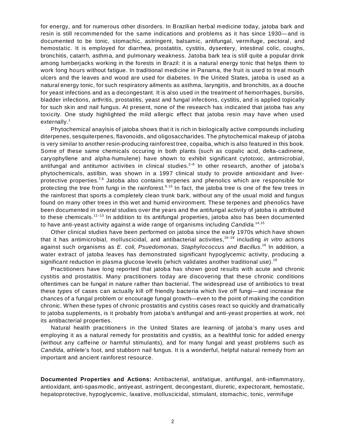for energy, and for numerous other disorders. In Brazilian herbal medicine today, jatoba bark and resin is still recommended for the same indications and problems as it has since 1930—and is documented to be tonic, stomachic, astringent, balsamic, antifungal, vermifuge, pectoral, and hemostatic. It is employed for diarrhea, prostatitis, cystitis, dysentery, intestinal colic, coughs, bronchitis, catarrh, asthma, and pulmonary weakness. Jatoba bark tea is still quite a popular drink among lumberjacks working in the forests in Brazil: it is a natural energy tonic that helps them to work long hours without fatigue. In traditional medicine in Panama, the fruit is used to treat mouth ulcers and the leaves and wood are used for diabetes. In the United States, jatoba is used as a natural energy tonic, for such respiratory ailments as asthma, laryngitis, and bronchitis, as a douche for yeast infections and as a decongestant. It is also used in the treatment of hemorrhages, bursitis, bladder infections, arthritis, prostatitis, yeast and fungal infections, cystitis, and is applied topically for such skin and nail fungus. At present, none of the research has indicated that jatoba has any toxicity. One study highlighted the mild allergic effect that jatoba resin may have when used externally.<sup>1</sup>

Phytochemical anaylsis of jatoba shows that it is rich in biologically active compounds including diterpenes, sesquiterpenes, flavonoids, and oligosaccharides. The phytochemical makeup of jatoba is very similar to another resin-producing rainforest tree, copaiba, which is also featured in this book. Some of these same chemicals occuring in both plants (such as copalic acid, delta-cadinene, caryophyllene and alpha-humulene) have shown to exhibit significant cytotoxic, antimicrobial, antifungal and antitumor activities in clinical studies.<sup>2–6</sup> In other research, another of jatoba's phytochemicals, astilbin, was shown in a 1997 clinical study to provide antioxidant and liverprotective properties.<sup>7,8</sup> Jatoba also contains terpenes and phenolics which are responsible for protecting the tree from fungi in the rainforest.<sup>9,10</sup> In fact, the jatoba tree is one of the few trees in the rainforest that sports a completely clean trunk bark, without any of the usual mold and fungus found on many other trees in this wet and humid environment. These terpenes and phenolics have been documented in several studies over the years and the antifungal activity of jatoba is attributed to these chemicals.<sup>11–13</sup> In addition to its antifungal properties, jatoba also has been documented to have anti-yeast activity against a wide range of organisms including *Candida*. 14,15

Other clinical studies have been performed on jatoba since the early 1970s which have shown that it has antimicrobial, molluscicidal, and antibacterial activities,16–18 including *in vitro* actions against such organisms as *E. coli, Psuedomonas, Staphylococcus and Bacillus*. <sup>16</sup> In addition, a water extract of jatoba leaves has demonstrated significant hypoglycemic activity, producing a significant reduction in plasma glucose levels (which validates another traditional use).<sup>19</sup>

Practitioners have long reported that jatoba has shown good results with acute and chronic cystitis and prostatitis. Many practitioners today are discovering that these chronic conditions oftentimes can be fungal in nature rather than bacterial. The widespread use of antibiotics to treat these types of cases can actually kill off friendly bacteria which live off fungi—and increase the chances of a fungal problem or encourage fungal growth—even to the point of making the condition chronic. When these types of chronic prostatitis and cystitis cases react so quickly and dramatically to jatoba supplements, is it probably from jatoba's antifungal and anti-yeast properties at work, not its antibacterial properties.

Natural health practitioners in the United States are learning of jatoba's many uses and employing it as a natural remedy for prostatitis and cystitis, as a healthful tonic for added energy (without any caffeine or harmful stimulants), and for many fungal and yeast problems such as *Candida*, athlete's foot, and stubborn nail fungus. It is a wonderful, helpful natural remedy from an important and ancient rainforest resource.

**Documented Properties and Actions:** Antibacterial, antifatigue, antifungal, anti-inflammatory, antioxidant, anti-spasmodic, antiyeast, astringent, decongestant, diuretic, expectorant, hemostatic, hepatoprotective, hypoglycemic, laxative, molluscicidal, stimulant, stomachic, tonic, vermifuge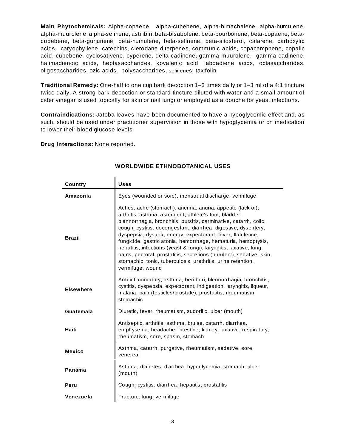**Main Phytochemicals:** Alpha-copaene, alpha-cubebene, alpha-himachalene, alpha-humulene, alpha-muurolene, alpha-selinene, astilibin, beta-bisabolene, beta-bourbonene, beta-copaene, betacubebene, beta-gurjunene, beta-humulene, beta-selinene, beta-sitosterol, calarene, carboxylic acids, caryophyllene, catechins, clerodane diterpenes, communic acids, copacamphene, copalic acid, cubebene, cyclosativene, cyperene, delta-cadinene, gamma-muurolene, gamma-cadinene, halimadienoic acids, heptasaccharides, kovalenic acid, labdadiene acids, octasaccharides, oligosaccharides, ozic acids, polysaccharides, selinenes, taxifolin

**Traditional Remedy:** One-half to one cup bark decoction 1–3 times daily or 1–3 ml of a 4:1 tincture twice daily. A strong bark decoction or standard tincture diluted with water and a small amount of cider vinegar is used topically for skin or nail fungi or employed as a douche for yeast infections.

**Contraindications:** Jatoba leaves have been documented to have a hypoglycemic effect and, as such, should be used under practitioner supervision in those with hypoglycemia or on medication to lower their blood glucose levels.

**Drug Interactions:** None reported.

 $\blacksquare$ 

| Country          | <b>Uses</b>                                                                                                                                                                                                                                                                                                                                                                                                                                                                                                                                                                                                                    |
|------------------|--------------------------------------------------------------------------------------------------------------------------------------------------------------------------------------------------------------------------------------------------------------------------------------------------------------------------------------------------------------------------------------------------------------------------------------------------------------------------------------------------------------------------------------------------------------------------------------------------------------------------------|
| Amazonia         | Eyes (wounded or sore), menstrual discharge, vermifuge                                                                                                                                                                                                                                                                                                                                                                                                                                                                                                                                                                         |
| <b>Brazil</b>    | Aches, ache (stomach), anemia, anuria, appetite (lack of),<br>arthritis, asthma, astringent, athlete's foot, bladder,<br>blennorrhagia, bronchitis, bursitis, carminative, catarrh, colic,<br>cough, cystitis, decongestant, diarrhea, digestive, dysentery,<br>dyspepsia, dysuria, energy, expectorant, fever, flatulence,<br>fungicide, gastric atonia, hemorrhage, hematuria, hemoptysis,<br>hepatitis, infections (yeast & fungi), laryngitis, laxative, lung,<br>pains, pectoral, prostatitis, secretions (purulent), sedative, skin,<br>stomachic, tonic, tuberculosis, urethritis, urine retention,<br>vermifuge, wound |
| <b>Elsewhere</b> | Anti-inflammatory, asthma, beri-beri, blennorrhagia, bronchitis,<br>cystitis, dyspepsia, expectorant, indigestion, laryngitis, liqueur,<br>malaria, pain (testicles/prostate), prostatitis, rheumatism,<br>stomachic                                                                                                                                                                                                                                                                                                                                                                                                           |
| Guatemala        | Diuretic, fever, rheumatism, sudorific, ulcer (mouth)                                                                                                                                                                                                                                                                                                                                                                                                                                                                                                                                                                          |
| Haiti            | Antiseptic, arthritis, asthma, bruise, catarrh, diarrhea,<br>emphysema, headache, intestine, kidney, laxative, respiratory,<br>rheumatism, sore, spasm, stomach                                                                                                                                                                                                                                                                                                                                                                                                                                                                |
| <b>Mexico</b>    | Asthma, catarrh, purgative, rheumatism, sedative, sore,<br>venereal                                                                                                                                                                                                                                                                                                                                                                                                                                                                                                                                                            |
| Panama           | Asthma, diabetes, diarrhea, hypoglycemia, stomach, ulcer<br>(mouth)                                                                                                                                                                                                                                                                                                                                                                                                                                                                                                                                                            |
| Peru             | Cough, cystitis, diarrhea, hepatitis, prostatitis                                                                                                                                                                                                                                                                                                                                                                                                                                                                                                                                                                              |
| Venezuela        | Fracture, lung, vermifuge                                                                                                                                                                                                                                                                                                                                                                                                                                                                                                                                                                                                      |

#### **WORLDWIDE ETHNOBOTANICAL USES**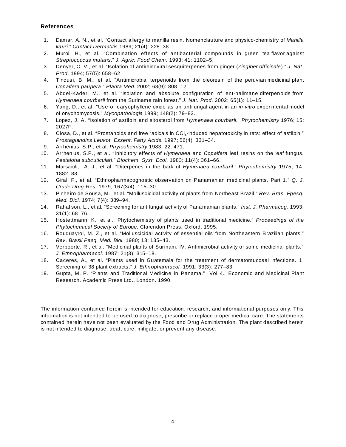#### **References**

- 1. Damar, A. N., et al. "Contact allergy to manilla resin. Nomenclauture and physico-chemistry of *Manilla kauri.*" *Contact Dermatitis* 1989; 21(4): 228–38.
- 2. Muroi, H., et al. "Combination effects of antibacterial compounds in green tea flavor against *Streptococcus mutans*." *J. Agric. Food Chem*. 1993; 41: 1102–5.
- 3. Denyer, C. V., et al. "Isolation of antirhinoviral sesquiterpenes from ginger (*Zingiber officinale*)." *J. Nat. Prod*. 1994; 57(5): 658–62.
- 4. Tincusi, B. M., et al. "Antimicrobial terpenoids from the oleoresin of the peruvian medicinal plant *Copaifera paupera*." *Planta Med*. 2002; 68(9): 808–12.
- 5. Abdel-Kader, M., et al. "Isolation and absolute configuration of ent-halimane diterpenoids from *Hymenaea courbaril* from the Suriname rain forest." *J. Nat. Prod.* 2002; 65(1): 11–15.
- 6. Yang, D., et al. "Use of caryophyllene oxide as an antifungal agent in an *in vitro* experimental model of onychomycosis." *Mycopathologia* 1999; 148(2): 79–82.
- 7. Lopez, J. A. "Isolation of astilbin and sitosterol from *Hymenaea courbaril*." *Phytochemistry* 1976; 15: 2027F.
- 8. Closa, D., et al. "Prostanoids and free radicals in  $\text{CCI}_4$ -induced hepatotoxicity in rats: effect of astilbin." *Prostaglandins Leukot. Essent. Fatty Acids*. 1997; 56(4): 331–34.
- 9. Arrhenius, S.P., et al. *Phytochemistry* 1983; 22: 471.
- 10. Arrhenius, S.P., et al. "Inhibitory effects of *Hymenaea* and *Copaifera* leaf resins on the leaf fungus, *Pestalotia subcuticulari*." *Biochem. Syst. Ecol*. 1983; 11(4): 361–66.
- 11. Marsaioli, A. J., et al. "Diterpenes in the bark of *Hymenaea courbaril.*" *Phytochemistry* 1975; 14: 1882–83.
- 12. Giral, F., et al. "Ethnopharmacognostic observation on Panamanian medicinal plants. Part 1." *Q. J. Crude Drug Res.* 1979; 167(3/4): 115–30.
- 13. Pinheiro de Sousa, M., et al. "Molluscicidal activity of plants from Northeast Brazil." *Rev. Bras. Fpesq. Med. Biol.* 1974; 7(4): 389–94.
- 14. Rahalison, L., et al. "Screening for antifungal activity of Panamanian plants." *Inst. J. Pharmacog.* 1993; 31(1): 68–76.
- 15. Hostettmann, K., et al. "Phytochemistry of plants used in traditional medicine." *Proceedings of the Phytochemical Society of Europe.* Clarendon Press, Oxford. 1995.
- 16. Rouquayrol, M. Z., et al. "Molluscicidal activity of essential oils from Northeastern Brazilian plants." *Rev. Brasil Pesq. Med. Biol.* 1980; 13: 135–43.
- 17. Verpoorte, R., et al. "Medicinal plants of Surinam. IV. Antimicrobial activity of some medicinal plants." *J. Ethnopharmacol.* 1987; 21(3): 315–18.
- 18. Caceres, A., et al. "Plants used in Guatemala for the treatment of dermatomucosal infections. 1: Screening of 38 plant extracts." *J. Ethnopharmacol.* 1991; 33(3): 277–83.
- 19. Gupta, M. P. "Plants and Traditional Medicine in Panama." Vol 4., Economic and Medicinal Plant Research. Academic Press Ltd., London. 1990.

The information contained herein is intended for education, research, and informational purposes only. This information is not intended to be used to diagnose, prescribe or replace proper medical care. The statements contained herein have not been evaluated by the Food and Drug Administration. The plant described herein is not intended to diagnose, treat, cure, mitigate, or prevent any disease.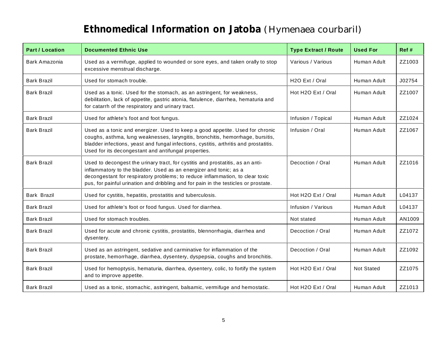## **Ethnomedical Information on Jatoba** *(Hymenaea courbaril)*

| <b>Part / Location</b> | <b>Documented Ethnic Use</b>                                                                                                                                                                                                                                                                                                | <b>Type Extract / Route</b> | <b>Used For</b>   | Ref#   |
|------------------------|-----------------------------------------------------------------------------------------------------------------------------------------------------------------------------------------------------------------------------------------------------------------------------------------------------------------------------|-----------------------------|-------------------|--------|
| Bark Amazonia          | Used as a vermifuge, applied to wounded or sore eyes, and taken orally to stop<br>excessive menstrual discharge.                                                                                                                                                                                                            | Various / Various           | Human Adult       | ZZ1003 |
| <b>Bark Brazil</b>     | Used for stomach trouble.                                                                                                                                                                                                                                                                                                   | H <sub>2</sub> O Ext / Oral | Human Adult       | J02754 |
| <b>Bark Brazil</b>     | Used as a tonic. Used for the stomach, as an astringent, for weakness,<br>debilitation, lack of appetite, gastric atonia, flatulence, diarrhea, hematuria and<br>for catarrh of the respiratory and urinary tract.                                                                                                          | Hot H2O Ext / Oral          | Human Adult       | ZZ1007 |
| <b>Bark Brazil</b>     | Used for athlete's foot and foot fungus.                                                                                                                                                                                                                                                                                    | Infusion / Topical          | Human Adult       | ZZ1024 |
| <b>Bark Brazil</b>     | Used as a tonic and energizer. Used to keep a good appetite. Used for chronic<br>coughs, asthma, lung weaknesses, laryngitis, bronchitis, hemorrhage, bursitis,<br>bladder infections, yeast and fungal infections, cystitis, arthritis and prostatitis.<br>Used for its decongestant and antifungal properties.            | Infusion / Oral             | Human Adult       | ZZ1067 |
| <b>Bark Brazil</b>     | Used to decongest the urinary tract, for cystitis and prostatitis, as an anti-<br>inflammatory to the bladder. Used as an energizer and tonic; as a<br>decongestant for respiratory problems; to reduce inflammation, to clear toxic<br>pus, for painful urination and dribbling and for pain in the testicles or prostate. | Decoction / Oral            | Human Adult       | ZZ1016 |
| Bark Brazil            | Used for cystitis, hepatitis, prostatitis and tuberculosis.                                                                                                                                                                                                                                                                 | Hot H2O Ext / Oral          | Human Adult       | L04137 |
| <b>Bark Brazil</b>     | Used for athlete's foot or food fungus. Used for diarrhea.                                                                                                                                                                                                                                                                  | Infusion / Various          | Human Adult       | L04137 |
| <b>Bark Brazil</b>     | Used for stomach troubles.                                                                                                                                                                                                                                                                                                  | Not stated                  | Human Adult       | AN1009 |
| <b>Bark Brazil</b>     | Used for acute and chronic cystitis, prostatitis, blennorrhagia, diarrhea and<br>dysentery.                                                                                                                                                                                                                                 | Decoction / Oral            | Human Adult       | ZZ1072 |
| <b>Bark Brazil</b>     | Used as an astringent, sedative and carminative for inflammation of the<br>prostate, hemorrhage, diarrhea, dysentery, dyspepsia, coughs and bronchitis.                                                                                                                                                                     | Decoction / Oral            | Human Adult       | ZZ1092 |
| <b>Bark Brazil</b>     | Used for hemoptysis, hematuria, diarrhea, dysentery, colic, to fortify the system<br>and to improve appetite.                                                                                                                                                                                                               | Hot H2O Ext / Oral          | <b>Not Stated</b> | ZZ1075 |
| <b>Bark Brazil</b>     | Used as a tonic, stomachic, astringent, balsamic, vermifuge and hemostatic.                                                                                                                                                                                                                                                 | Hot H2O Ext / Oral          | Human Adult       | ZZ1013 |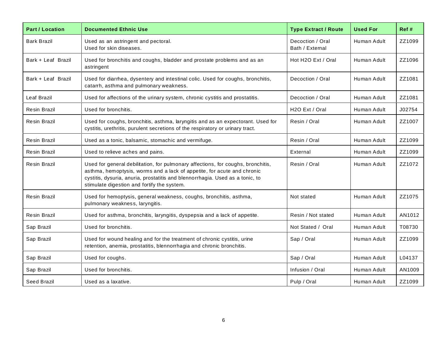| <b>Part / Location</b> | <b>Documented Ethnic Use</b>                                                                                                                                                                                                                                                                | <b>Type Extract / Route</b>         | <b>Used For</b> | Ref #  |
|------------------------|---------------------------------------------------------------------------------------------------------------------------------------------------------------------------------------------------------------------------------------------------------------------------------------------|-------------------------------------|-----------------|--------|
| <b>Bark Brazil</b>     | Used as an astringent and pectoral.<br>Used for skin diseases.                                                                                                                                                                                                                              | Decoction / Oral<br>Bath / External | Human Adult     | ZZ1099 |
| Bark + Leaf Brazil     | Used for bronchitis and coughs, bladder and prostate problems and as an<br>astringent                                                                                                                                                                                                       | Hot H2O Ext / Oral                  | Human Adult     | ZZ1096 |
| Bark + Leaf Brazil     | Used for diarrhea, dysentery and intestinal colic. Used for coughs, bronchitis,<br>catarrh, asthma and pulmonary weakness.                                                                                                                                                                  | Decoction / Oral                    | Human Adult     | ZZ1081 |
| Leaf Brazil            | Used for affections of the urinary system, chronic cystitis and prostatitis.                                                                                                                                                                                                                | Decoction / Oral                    | Human Adult     | ZZ1081 |
| Resin Brazil           | Used for bronchitis.                                                                                                                                                                                                                                                                        | H <sub>2</sub> O Ext / Oral         | Human Adult     | J02754 |
| Resin Brazil           | Used for coughs, bronchitis, asthma, laryngitis and as an expectorant. Used for<br>cystitis, urethritis, purulent secretions of the respiratory or urinary tract.                                                                                                                           | Resin / Oral                        | Human Adult     | ZZ1007 |
| <b>Resin Brazil</b>    | Used as a tonic, balsamic, stomachic and vermifuge.                                                                                                                                                                                                                                         | Resin / Oral                        | Human Adult     | ZZ1099 |
| <b>Resin Brazil</b>    | Used to relieve aches and pains.                                                                                                                                                                                                                                                            | External                            | Human Adult     | ZZ1099 |
| <b>Resin Brazil</b>    | Used for general debilitation, for pulmonary affections, for coughs, bronchitis,<br>asthma, hemoptysis, worms and a lack of appetite, for acute and chronic<br>cystitis, dysuria, anuria, prostatitis and blennorrhagia. Used as a tonic, to<br>stimulate digestion and fortify the system. | Resin / Oral                        | Human Adult     | ZZ1072 |
| <b>Resin Brazil</b>    | Used for hemoptysis, general weakness, coughs, bronchitis, asthma,<br>pulmonary weakness, laryngitis.                                                                                                                                                                                       | Not stated                          | Human Adult     | ZZ1075 |
| <b>Resin Brazil</b>    | Used for asthma, bronchitis, laryngitis, dyspepsia and a lack of appetite.                                                                                                                                                                                                                  | Resin / Not stated                  | Human Adult     | AN1012 |
| Sap Brazil             | Used for bronchitis.                                                                                                                                                                                                                                                                        | Not Stated / Oral                   | Human Adult     | T08730 |
| Sap Brazil             | Used for wound healing and for the treatment of chronic cystitis, urine<br>retention, anemia, prostatitis, blennorrhagia and chronic bronchitis.                                                                                                                                            | Sap / Oral                          | Human Adult     | ZZ1099 |
| Sap Brazil             | Used for coughs.                                                                                                                                                                                                                                                                            | Sap / Oral                          | Human Adult     | L04137 |
| Sap Brazil             | Used for bronchitis.                                                                                                                                                                                                                                                                        | Infusion / Oral                     | Human Adult     | AN1009 |
| Seed Brazil            | Used as a laxative.                                                                                                                                                                                                                                                                         | Pulp / Oral                         | Human Adult     | ZZ1099 |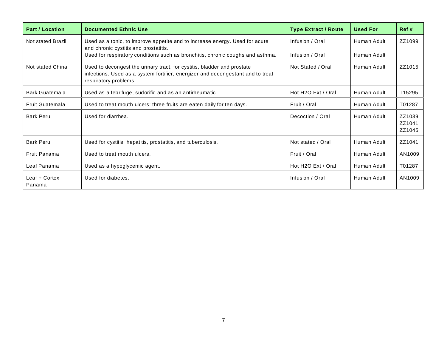| <b>Part / Location</b>  | <b>Documented Ethnic Use</b>                                                                                                                                                        | <b>Type Extract / Route</b> | <b>Used For</b> | Ref#                       |
|-------------------------|-------------------------------------------------------------------------------------------------------------------------------------------------------------------------------------|-----------------------------|-----------------|----------------------------|
| Not stated Brazil       | Used as a tonic, to improve appetite and to increase energy. Used for acute<br>and chronic cystitis and prostatitis.                                                                | Infusion / Oral             | Human Adult     | ZZ1099                     |
|                         | Used for respiratory conditions such as bronchitis, chronic coughs and asthma.                                                                                                      | Infusion / Oral             | Human Adult     |                            |
| Not stated China        | Used to decongest the urinary tract, for cystitis, bladder and prostate<br>infections. Used as a system fortifier, energizer and decongestant and to treat<br>respiratory problems. | Not Stated / Oral           | Human Adult     | ZZ1015                     |
| Bark Guatemala          | Used as a febrifuge, sudorific and as an antirheumatic                                                                                                                              | Hot H2O Ext / Oral          | Human Adult     | T15295                     |
| Fruit Guatemala         | Used to treat mouth ulcers: three fruits are eaten daily for ten days.                                                                                                              | Fruit / Oral                | Human Adult     | T01287                     |
| <b>Bark Peru</b>        | Used for diarrhea.                                                                                                                                                                  | Decoction / Oral            | Human Adult     | ZZ1039<br>ZZ1041<br>ZZ1045 |
| <b>Bark Peru</b>        | Used for cystitis, hepatitis, prostatitis, and tuberculosis.                                                                                                                        | Not stated / Oral           | Human Adult     | ZZ1041                     |
| Fruit Panama            | Used to treat mouth ulcers.                                                                                                                                                         | Fruit / Oral                | Human Adult     | AN1009                     |
| Leaf Panama             | Used as a hypoglycemic agent.                                                                                                                                                       | Hot H2O Ext / Oral          | Human Adult     | T01287                     |
| Leaf + Cortex<br>Panama | Used for diabetes.                                                                                                                                                                  | Infusion / Oral             | Human Adult     | AN1009                     |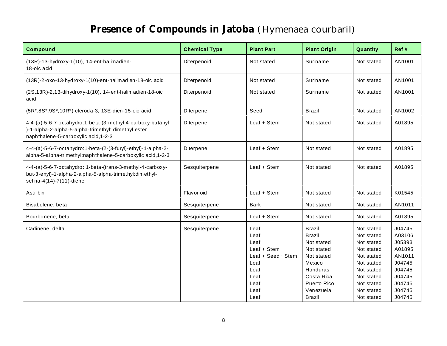### **Presence of Compounds in Jatoba** *(Hymenaea courbaril)*

| <b>Compound</b>                                                                                                                                           | <b>Chemical Type</b> | <b>Plant Part</b>                                                                                        | <b>Plant Origin</b>                                                                                                                                       | Quantity                                                                                                                                               | Ref #                                                                                                      |
|-----------------------------------------------------------------------------------------------------------------------------------------------------------|----------------------|----------------------------------------------------------------------------------------------------------|-----------------------------------------------------------------------------------------------------------------------------------------------------------|--------------------------------------------------------------------------------------------------------------------------------------------------------|------------------------------------------------------------------------------------------------------------|
| (13R)-13-hydroxy-1(10), 14-ent-halimadien-<br>18-oic acid                                                                                                 | Diterpenoid          | Not stated                                                                                               | Suriname                                                                                                                                                  | Not stated                                                                                                                                             | AN1001                                                                                                     |
| (13R)-2-oxo-13-hydroxy-1(10)-ent-halimadien-18-oic acid                                                                                                   | Diterpenoid          | Not stated                                                                                               | Suriname                                                                                                                                                  | Not stated                                                                                                                                             | AN1001                                                                                                     |
| $(2S, 13R)$ -2,13-dihydroxy-1(10), 14-ent-halimadien-18-oic<br>acid                                                                                       | Diterpenoid          | Not stated                                                                                               | Suriname                                                                                                                                                  | Not stated                                                                                                                                             | AN1001                                                                                                     |
| (5R*,8S*,9S*,10R*)-cleroda-3, 13E-dien-15-oic acid                                                                                                        | Diterpene            | Seed                                                                                                     | <b>Brazil</b>                                                                                                                                             | Not stated                                                                                                                                             | AN1002                                                                                                     |
| 4-4-(a)-5-6-7-octahydro:1-beta-(3-methyl-4-carboxy-butanyl<br>)-1-alpha-2-alpha-5-alpha-trimethyl: dimethyl ester<br>naphthalene-5-carboxylic acid, 1-2-3 | Diterpene            | Leaf + Stem                                                                                              | Not stated                                                                                                                                                | Not stated                                                                                                                                             | A01895                                                                                                     |
| 4-4-(a)-5-6-7-octahydro:1-beta-(2-(3-furyl)-ethyl)-1-alpha-2-<br>alpha-5-alpha-trimethyl:naphthalene-5-carboxylic acid, 1-2-3                             | Diterpene            | Leaf + Stem                                                                                              | Not stated                                                                                                                                                | Not stated                                                                                                                                             | A01895                                                                                                     |
| 4-4-(a)-5-6-7-octahydro: 1-beta-(trans-3-methyl-4-carboxy-<br>but-3-enyl)-1-alpha-2-alpha-5-alpha-trimethyl:dimethyl-<br>selina-4(14)-7(11)-diene         | Sesquiterpene        | Leaf + Stem                                                                                              | Not stated                                                                                                                                                | Not stated                                                                                                                                             | A01895                                                                                                     |
| Astilibin                                                                                                                                                 | Flavonoid            | Leaf + Stem                                                                                              | Not stated                                                                                                                                                | Not stated                                                                                                                                             | K01545                                                                                                     |
| Bisabolene, beta                                                                                                                                          | Sesquiterpene        | <b>Bark</b>                                                                                              | Not stated                                                                                                                                                | Not stated                                                                                                                                             | AN1011                                                                                                     |
| Bourbonene, beta                                                                                                                                          | Sesquiterpene        | Leaf + Stem                                                                                              | Not stated                                                                                                                                                | Not stated                                                                                                                                             | A01895                                                                                                     |
| Cadinene, delta                                                                                                                                           | Sesquiterpene        | Leaf<br>Leaf<br>Leaf<br>Leaf + Stem<br>Leaf + Seed+ Stem<br>Leaf<br>Leaf<br>Leaf<br>Leaf<br>Leaf<br>Leaf | <b>Brazil</b><br><b>Brazil</b><br>Not stated<br>Not stated<br>Not stated<br>Mexico<br>Honduras<br>Costa Rica<br>Puerto Rico<br>Venezuela<br><b>Brazil</b> | Not stated<br>Not stated<br>Not stated<br>Not stated<br>Not stated<br>Not stated<br>Not stated<br>Not stated<br>Not stated<br>Not stated<br>Not stated | J04745<br>A03106<br>J05393<br>A01895<br>AN1011<br>J04745<br>J04745<br>J04745<br>J04745<br>J04745<br>J04745 |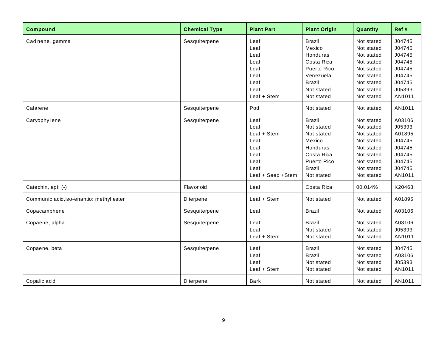| <b>Compound</b>                          | <b>Chemical Type</b> | <b>Plant Part</b>                                                                         | <b>Plant Origin</b>                                                                                                         | Quantity                                                                                                                   | Ref#                                                                                   |
|------------------------------------------|----------------------|-------------------------------------------------------------------------------------------|-----------------------------------------------------------------------------------------------------------------------------|----------------------------------------------------------------------------------------------------------------------------|----------------------------------------------------------------------------------------|
| Cadinene, gamma                          | Sesquiterpene        | Leaf<br>Leaf<br>Leaf<br>Leaf<br>Leaf<br>Leaf<br>Leaf<br>Leaf<br>Leaf + Stem               | <b>Brazil</b><br>Mexico<br>Honduras<br>Costa Rica<br>Puerto Rico<br>Venezuela<br><b>Brazil</b><br>Not stated<br>Not stated  | Not stated<br>Not stated<br>Not stated<br>Not stated<br>Not stated<br>Not stated<br>Not stated<br>Not stated<br>Not stated | J04745<br>J04745<br>J04745<br>J04745<br>J04745<br>J04745<br>J04745<br>J05393<br>AN1011 |
| Calarene                                 | Sesquiterpene        | Pod                                                                                       | Not stated                                                                                                                  | Not stated                                                                                                                 | AN1011                                                                                 |
| Caryophyllene                            | Sesquiterpene        | Leaf<br>Leaf<br>Leaf + Stem<br>Leaf<br>Leaf<br>Leaf<br>Leaf<br>Leaf<br>Leaf + Seed + Stem | <b>Brazil</b><br>Not stated<br>Not stated<br>Mexico<br>Honduras<br>Costa Rica<br>Puerto Rico<br><b>Brazil</b><br>Not stated | Not stated<br>Not stated<br>Not stated<br>Not stated<br>Not stated<br>Not stated<br>Not stated<br>Not stated<br>Not stated | A03106<br>J05393<br>A01895<br>J04745<br>J04745<br>J04745<br>J04745<br>J04745<br>AN1011 |
| Catechin, epi: (-)                       | Flavonoid            | Leaf                                                                                      | Costa Rica                                                                                                                  | 00.014%                                                                                                                    | K20463                                                                                 |
| Communic acid, iso-enantio: methyl ester | Diterpene            | Leaf + Stem                                                                               | Not stated                                                                                                                  | Not stated                                                                                                                 | A01895                                                                                 |
| Copacamphene                             | Sesquiterpene        | Leaf                                                                                      | <b>Brazil</b>                                                                                                               | Not stated                                                                                                                 | A03106                                                                                 |
| Copaene, alpha                           | Sesquiterpene        | Leaf<br>Leaf<br>Leaf + Stem                                                               | <b>Brazil</b><br>Not stated<br>Not stated                                                                                   | Not stated<br>Not stated<br>Not stated                                                                                     | A03106<br>J05393<br>AN1011                                                             |
| Copaene, beta                            | Sesquiterpene        | Leaf<br>Leaf<br>Leaf<br>Leaf + Stem                                                       | <b>Brazil</b><br><b>Brazil</b><br>Not stated<br>Not stated                                                                  | Not stated<br>Not stated<br>Not stated<br>Not stated                                                                       | J04745<br>A03106<br>J05393<br>AN1011                                                   |
| Copalic acid                             | Diterpene            | Bark                                                                                      | Not stated                                                                                                                  | Not stated                                                                                                                 | AN1011                                                                                 |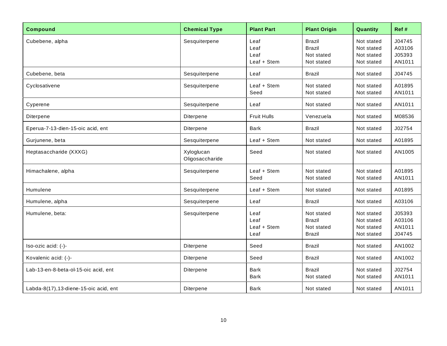| <b>Compound</b>                        | <b>Chemical Type</b>          | <b>Plant Part</b>                   | <b>Plant Origin</b>                                        | Quantity                                             | Ref #                                |
|----------------------------------------|-------------------------------|-------------------------------------|------------------------------------------------------------|------------------------------------------------------|--------------------------------------|
| Cubebene, alpha                        | Sesquiterpene                 | Leaf<br>Leaf<br>Leaf<br>Leaf + Stem | <b>Brazil</b><br><b>Brazil</b><br>Not stated<br>Not stated | Not stated<br>Not stated<br>Not stated<br>Not stated | J04745<br>A03106<br>J05393<br>AN1011 |
| Cubebene, beta                         | Sesquiterpene                 | Leaf                                | Brazil                                                     | Not stated                                           | J04745                               |
| Cyclosativene                          | Sesquiterpene                 | Leaf + Stem<br>Seed                 | Not stated<br>Not stated                                   | Not stated<br>Not stated                             | A01895<br>AN1011                     |
| Cyperene                               | Sesquiterpene                 | Leaf                                | Not stated                                                 | Not stated                                           | AN1011                               |
| Diterpene                              | Diterpene                     | <b>Fruit Hulls</b>                  | Venezuela                                                  | Not stated                                           | M08536                               |
| Eperua-7-13-dien-15-oic acid, ent      | Diterpene                     | <b>Bark</b>                         | <b>Brazil</b>                                              | Not stated                                           | J02754                               |
| Gurjunene, beta                        | Sesquiterpene                 | Leaf + Stem                         | Not stated                                                 | Not stated                                           | A01895                               |
| Heptasaccharide (XXXG)                 | Xyloglucan<br>Oligosaccharide | Seed                                | Not stated                                                 | Not stated                                           | AN1005                               |
| Himachalene, alpha                     | Sesquiterpene                 | Leaf + Stem<br>Seed                 | Not stated<br>Not stated                                   | Not stated<br>Not stated                             | A01895<br>AN1011                     |
| Humulene                               | Sesquiterpene                 | Leaf + Stem                         | Not stated                                                 | Not stated                                           | A01895                               |
| Humulene, alpha                        | Sesquiterpene                 | Leaf                                | <b>Brazil</b>                                              | Not stated                                           | A03106                               |
| Humulene, beta:                        | Sesquiterpene                 | Leaf<br>Leaf<br>Leaf + Stem<br>Leaf | Not stated<br><b>Brazil</b><br>Not stated<br><b>Brazil</b> | Not stated<br>Not stated<br>Not stated<br>Not stated | J05393<br>A03106<br>AN1011<br>J04745 |
| Iso-ozic acid: (-)-                    | Diterpene                     | Seed                                | <b>Brazil</b>                                              | Not stated                                           | AN1002                               |
| Kovalenic acid: (-)-                   | Diterpene                     | Seed                                | Brazil                                                     | Not stated                                           | AN1002                               |
| Lab-13-en-8-beta-ol-15-oic acid, ent   | Diterpene                     | <b>Bark</b><br>Bark                 | <b>Brazil</b><br>Not stated                                | Not stated<br>Not stated                             | J02754<br>AN1011                     |
| Labda-8(17), 13-diene-15-oic acid, ent | Diterpene                     | <b>Bark</b>                         | Not stated                                                 | Not stated                                           | AN1011                               |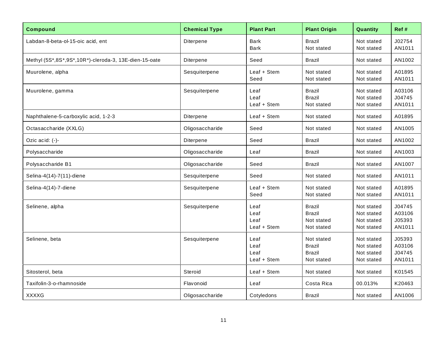| <b>Compound</b>                                       | <b>Chemical Type</b> | <b>Plant Part</b>                   | <b>Plant Origin</b>                                        | Quantity                                             | Ref #                                |
|-------------------------------------------------------|----------------------|-------------------------------------|------------------------------------------------------------|------------------------------------------------------|--------------------------------------|
| Labdan-8-beta-ol-15-oic acid, ent                     | Diterpene            | <b>Bark</b><br><b>Bark</b>          | <b>Brazil</b><br>Not stated                                | Not stated<br>Not stated                             | J02754<br>AN1011                     |
| Methyl (5S*,8S*,9S*,10R*)-cleroda-3, 13E-dien-15-oate | Diterpene            | Seed                                | Brazil                                                     | Not stated                                           | AN1002                               |
| Muurolene, alpha                                      | Sesquiterpene        | Leaf + Stem<br>Seed                 | Not stated<br>Not stated                                   | Not stated<br>Not stated                             | A01895<br>AN1011                     |
| Muurolene, gamma                                      | Sesquiterpene        | Leaf<br>Leaf<br>Leaf + Stem         | <b>Brazil</b><br><b>Brazil</b><br>Not stated               | Not stated<br>Not stated<br>Not stated               | A03106<br>J04745<br>AN1011           |
| Naphthalene-5-carboxylic acid, 1-2-3                  | Diterpene            | Leaf + Stem                         | Not stated                                                 | Not stated                                           | A01895                               |
| Octasaccharide (XXLG)                                 | Oligosaccharide      | Seed                                | Not stated                                                 | Not stated                                           | AN1005                               |
| Ozic acid: (-)-                                       | Diterpene            | Seed                                | <b>Brazil</b>                                              | Not stated                                           | AN1002                               |
| Polysaccharide                                        | Oligosaccharide      | Leaf                                | Brazil                                                     | Not stated                                           | AN1003                               |
| Polysaccharide B1                                     | Oligosaccharide      | Seed                                | Brazil                                                     | Not stated                                           | AN1007                               |
| Selina-4(14)-7(11)-diene                              | Sesquiterpene        | Seed                                | Not stated                                                 | Not stated                                           | AN1011                               |
| Selina-4(14)-7-diene                                  | Sesquiterpene        | Leaf + Stem<br>Seed                 | Not stated<br>Not stated                                   | Not stated<br>Not stated                             | A01895<br>AN1011                     |
| Selinene, alpha                                       | Sesquiterpene        | Leaf<br>Leaf<br>Leaf<br>Leaf + Stem | <b>Brazil</b><br><b>Brazil</b><br>Not stated<br>Not stated | Not stated<br>Not stated<br>Not stated<br>Not stated | J04745<br>A03106<br>J05393<br>AN1011 |
| Selinene, beta                                        | Sesquiterpene        | Leaf<br>Leaf<br>Leaf<br>Leaf + Stem | Not stated<br><b>Brazil</b><br><b>Brazil</b><br>Not stated | Not stated<br>Not stated<br>Not stated<br>Not stated | J05393<br>A03106<br>J04745<br>AN1011 |
| Sitosterol, beta                                      | <b>Steroid</b>       | Leaf + Stem                         | Not stated                                                 | Not stated                                           | K01545                               |
| Taxifolin-3-o-rhamnoside                              | Flavonoid            | Leaf                                | Costa Rica                                                 | 00.013%                                              | K20463                               |
| <b>XXXXG</b>                                          | Oligosaccharide      | Cotyledons                          | <b>Brazil</b>                                              | Not stated                                           | AN1006                               |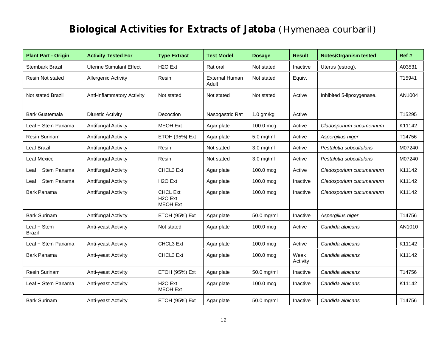#### **Biological Activities for Extracts of Jatoba** *(Hymenaea courbaril)*

| <b>Plant Part - Origin</b>   | <b>Activity Tested For</b>      | <b>Type Extract</b>                                        | <b>Test Model</b>              | <b>Dosage</b> | <b>Result</b>    | <b>Notes/Organism tested</b> | Ref #  |
|------------------------------|---------------------------------|------------------------------------------------------------|--------------------------------|---------------|------------------|------------------------------|--------|
| <b>Stembark Brazil</b>       | <b>Uterine Stimulant Effect</b> | H <sub>2</sub> O Ext                                       | Rat oral                       | Not stated    | Inactive         | Uterus (estrog).             | A03531 |
| Resin Not stated             | <b>Allergenic Activity</b>      | Resin                                                      | <b>External Human</b><br>Adult | Not stated    | Equiv.           |                              | T15941 |
| <b>Not stated Brazil</b>     | Anti-inflammatory Activity      | Not stated                                                 | Not stated                     | Not stated    | Active           | Inhibited 5-lipoxygenase.    | AN1004 |
| <b>Bark Guatemala</b>        | Diuretic Activity               | Decoction                                                  | Nasogastric Rat                | $1.0$ gm/kg   | Active           |                              | T15295 |
| Leaf + Stem Panama           | Antifungal Activity             | <b>MEOH Ext</b>                                            | Agar plate                     | 100.0 mcg     | Active           | Cladosporium cucumerinum     | K11142 |
| Resin Surinam                | Antifungal Activity             | ETOH (95%) Ext                                             | Agar plate                     | $5.0$ mg/ml   | Active           | Aspergillus niger            | T14756 |
| Leaf Brazil                  | Antifungal Activity             | Resin                                                      | Not stated                     | $3.0$ mg/ml   | Active           | Pestalotia subcultularis     | M07240 |
| Leaf Mexico                  | Antifungal Activity             | Resin                                                      | Not stated                     | $3.0$ mg/ml   | Active           | Pestalotia subcultularis     | M07240 |
| Leaf + Stem Panama           | Antifungal Activity             | CHCL3 Ext                                                  | Agar plate                     | $100.0$ mcg   | Active           | Cladosporium cucumerinum     | K11142 |
| Leaf + Stem Panama           | Antifungal Activity             | H <sub>2</sub> O Ext                                       | Agar plate                     | 100.0 mcg     | Inactive         | Cladosporium cucumerinum     | K11142 |
| Bark Panama                  | Antifungal Activity             | <b>CHCL Ext</b><br>H <sub>2</sub> O Ext<br><b>MEOH Ext</b> | Agar plate                     | 100.0 mcg     | Inactive         | Cladosporium cucumerinum     | K11142 |
| <b>Bark Surinam</b>          | Antifungal Activity             | ETOH (95%) Ext                                             | Agar plate                     | 50.0 mg/ml    | Inactive         | Aspergillus niger            | T14756 |
| Leaf + Stem<br><b>Brazil</b> | Anti-yeast Activity             | Not stated                                                 | Agar plate                     | 100.0 mcg     | Active           | Candida albicans             | AN1010 |
| Leaf + Stem Panama           | Anti-yeast Activity             | CHCL3 Ext                                                  | Agar plate                     | 100.0 mcg     | Active           | Candida albicans             | K11142 |
| <b>Bark Panama</b>           | Anti-yeast Activity             | CHCL3 Ext                                                  | Agar plate                     | 100.0 mcg     | Weak<br>Activity | Candida albicans             | K11142 |
| <b>Resin Surinam</b>         | Anti-yeast Activity             | ETOH (95%) Ext                                             | Agar plate                     | 50.0 mg/ml    | Inactive         | Candida albicans             | T14756 |
| Leaf + Stem Panama           | Anti-yeast Activity             | H <sub>2</sub> O Ext<br><b>MEOH Ext</b>                    | Agar plate                     | 100.0 mcg     | Inactive         | Candida albicans             | K11142 |
| <b>Bark Surinam</b>          | Anti-yeast Activity             | ETOH (95%) Ext                                             | Agar plate                     | 50.0 mg/ml    | Inactive         | Candida albicans             | T14756 |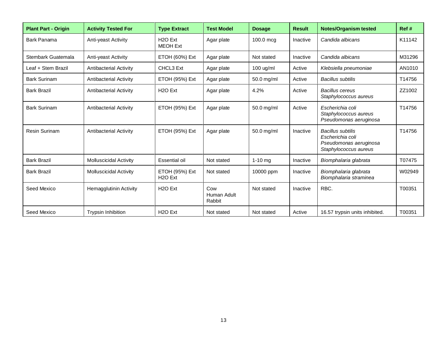| <b>Plant Part - Origin</b> | <b>Activity Tested For</b>    | <b>Type Extract</b>                     | <b>Test Model</b>            | <b>Dosage</b> | <b>Result</b> | <b>Notes/Organism tested</b>                                                                    | Ref #  |
|----------------------------|-------------------------------|-----------------------------------------|------------------------------|---------------|---------------|-------------------------------------------------------------------------------------------------|--------|
| <b>Bark Panama</b>         | Anti-yeast Activity           | H <sub>2</sub> O Ext<br><b>MEOH Ext</b> | Agar plate                   | 100.0 mcg     | Inactive      | Candida albicans                                                                                | K11142 |
| Stembark Guatemala         | Anti-yeast Activity           | ETOH (60%) Ext                          | Agar plate                   | Not stated    | Inactive      | Candida albicans                                                                                | M31296 |
| Leaf + Stem Brazil         | Antibacterial Activity        | CHCL3 Ext                               | Agar plate                   | $100$ ug/ml   | Active        | Klebsiella pneumoniae                                                                           | AN1010 |
| <b>Bark Surinam</b>        | Antibacterial Activity        | ETOH (95%) Ext                          | Agar plate                   | 50.0 mg/ml    | Active        | <b>Bacillus subtilis</b>                                                                        | T14756 |
| <b>Bark Brazil</b>         | <b>Antibacterial Activity</b> | H <sub>2</sub> O Ext                    | Agar plate                   | 4.2%          | Active        | Bacillus cereus<br>Staphylococcus aureus                                                        | ZZ1002 |
| <b>Bark Surinam</b>        | <b>Antibacterial Activity</b> | ETOH (95%) Ext                          | Agar plate                   | 50.0 mg/ml    | Active        | Escherichia coli<br>Staphylococcus aureus<br>Pseudomonas aeruginosa                             | T14756 |
| <b>Resin Surinam</b>       | Antibacterial Activity        | ETOH (95%) Ext                          | Agar plate                   | 50.0 mg/ml    | Inactive      | <b>Bacillus subtilis</b><br>Escherichia coli<br>Pseudomonas aeruginosa<br>Staphylococcus aureus | T14756 |
| <b>Bark Brazil</b>         | <b>Molluscicidal Activity</b> | Essential oil                           | Not stated                   | $1-10$ mg     | Inactive      | Biomphalaria glabrata                                                                           | T07475 |
| <b>Bark Brazil</b>         | <b>Molluscicidal Activity</b> | ETOH (95%) Ext<br>H <sub>2</sub> O Ext  | Not stated                   | 10000 ppm     | Inactive      | Biomphalaria glabrata<br>Biomphalaria straminea                                                 | W02949 |
| Seed Mexico                | Hemagglutinin Activity        | H <sub>2</sub> O Ext                    | Cow<br>Human Adult<br>Rabbit | Not stated    | Inactive      | RBC.                                                                                            | T00351 |
| Seed Mexico                | <b>Trypsin Inhibition</b>     | H <sub>2</sub> O Ext                    | Not stated                   | Not stated    | Active        | 16.57 trypsin units inhibited.                                                                  | T00351 |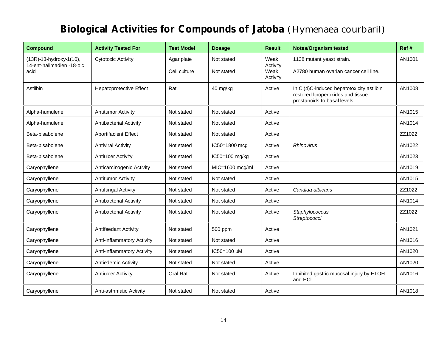### **Biological Activities for Compounds of Jatoba** *(Hymenaea courbaril)*

| <b>Compound</b>                   | <b>Activity Tested For</b>     | <b>Test Model</b> | <b>Dosage</b>   | <b>Result</b>                | <b>Notes/Organism tested</b>                                                                                   | Ref #  |
|-----------------------------------|--------------------------------|-------------------|-----------------|------------------------------|----------------------------------------------------------------------------------------------------------------|--------|
| (13R)-13-hydroxy-1(10),           | <b>Cytotoxic Activity</b>      | Agar plate        | Not stated      | Weak                         | 1138 mutant yeast strain.                                                                                      | AN1001 |
| 14-ent-halimadien -18-oic<br>acid |                                | Cell culture      | Not stated      | Activity<br>Weak<br>Activity | A2780 human ovarian cancer cell line.                                                                          |        |
| Astilbin                          | <b>Hepatoprotective Effect</b> | Rat               | 40 mg/kg        | Active                       | In CI(4)C-induced hepatotoxicity astilbin<br>restored lipoperoxides and tissue<br>prostanoids to basal levels. | AN1008 |
| Alpha-humulene                    | <b>Antitumor Activity</b>      | Not stated        | Not stated      | Active                       |                                                                                                                | AN1015 |
| Alpha-humulene                    | Antibacterial Activity         | Not stated        | Not stated      | Active                       |                                                                                                                | AN1014 |
| Beta-bisabolene                   | <b>Abortifacient Effect</b>    | Not stated        | Not stated      | Active                       |                                                                                                                | ZZ1022 |
| Beta-bisabolene                   | <b>Antiviral Activity</b>      | Not stated        | IC50=1800 mcg   | Active                       | <b>Rhinovirus</b>                                                                                              | AN1022 |
| Beta-bisabolene                   | <b>Antiulcer Activity</b>      | Not stated        | IC50=100 mg/kg  | Active                       |                                                                                                                | AN1023 |
| Caryophyllene                     | Anticarcinogenic Activity      | Not stated        | MIC=1600 mcg/ml | Active                       |                                                                                                                | AN1019 |
| Caryophyllene                     | <b>Antitumor Activity</b>      | Not stated        | Not stated      | Active                       |                                                                                                                | AN1015 |
| Caryophyllene                     | Antifungal Activity            | Not stated        | Not stated      | Active                       | Candida albicans                                                                                               | ZZ1022 |
| Caryophyllene                     | <b>Antibacterial Activity</b>  | Not stated        | Not stated      | Active                       |                                                                                                                | AN1014 |
| Caryophyllene                     | Antibacterial Activity         | Not stated        | Not stated      | Active                       | Staphylococcus<br>Streptococci                                                                                 | ZZ1022 |
| Caryophyllene                     | Antifeedant Activity           | Not stated        | 500 ppm         | Active                       |                                                                                                                | AN1021 |
| Caryophyllene                     | Anti-inflammatory Activity     | Not stated        | Not stated      | Active                       |                                                                                                                | AN1016 |
| Caryophyllene                     | Anti-inflammatory Activity     | Not stated        | IC50=100 uM     | Active                       |                                                                                                                | AN1020 |
| Caryophyllene                     | Antiedemic Activity            | Not stated        | Not stated      | Active                       |                                                                                                                | AN1020 |
| Caryophyllene                     | <b>Antiulcer Activity</b>      | Oral Rat          | Not stated      | Active                       | Inhibited gastric mucosal injury by ETOH<br>and HCI.                                                           | AN1016 |
| Caryophyllene                     | Anti-asthmatic Activity        | Not stated        | Not stated      | Active                       |                                                                                                                | AN1018 |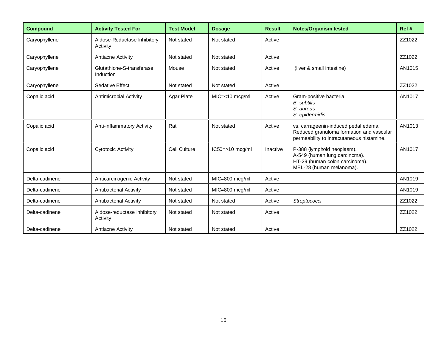| <b>Compound</b> | <b>Activity Tested For</b>              | <b>Test Model</b> | <b>Dosage</b>        | <b>Result</b> | <b>Notes/Organism tested</b>                                                                                                  | Ref #  |
|-----------------|-----------------------------------------|-------------------|----------------------|---------------|-------------------------------------------------------------------------------------------------------------------------------|--------|
| Caryophyllene   | Aldose-Reductase Inhibitory<br>Activity | Not stated        | Not stated           | Active        |                                                                                                                               | ZZ1022 |
| Caryophyllene   | Antiacne Activity                       | Not stated        | Not stated           | Active        |                                                                                                                               | ZZ1022 |
| Caryophyllene   | Glutathione-S-transferase<br>Induction  | Mouse             | Not stated           | Active        | (liver & small intestine)                                                                                                     | AN1015 |
| Caryophyllene   | <b>Sedative Effect</b>                  | Not stated        | Not stated           | Active        |                                                                                                                               | ZZ1022 |
| Copalic acid    | Antimicrobial Activity                  | Agar Plate        | $MIC=<10$ mcg/ml     | Active        | Gram-positive bacteria.<br><b>B.</b> subtilis<br>S. aureus<br>S. epidermidis                                                  | AN1017 |
| Copalic acid    | Anti-inflammatory Activity              | Rat               | Not stated           | Active        | vs. carrageenin-induced pedal edema.<br>Reduced granuloma formation and vascular<br>permeability to intracutaneous histamine. | AN1013 |
| Copalic acid    | Cytotoxic Activity                      | Cell Culture      | $IC50 = > 10$ mcg/ml | Inactive      | P-388 (lymphoid neoplasm).<br>A-549 (human lung carcinoma).<br>HT-29 (human colon carcinoma).<br>MEL-28 (human melanoma).     | AN1017 |
| Delta-cadinene  | Anticarcinogenic Activity               | Not stated        | MIC=800 mcg/ml       | Active        |                                                                                                                               | AN1019 |
| Delta-cadinene  | Antibacterial Activity                  | Not stated        | MIC=800 mcg/ml       | Active        |                                                                                                                               | AN1019 |
| Delta-cadinene  | Antibacterial Activity                  | Not stated        | Not stated           | Active        | Streptococci                                                                                                                  | ZZ1022 |
| Delta-cadinene  | Aldose-reductase Inhibitory<br>Activity | Not stated        | Not stated           | Active        |                                                                                                                               | ZZ1022 |
| Delta-cadinene  | <b>Antiacne Activity</b>                | Not stated        | Not stated           | Active        |                                                                                                                               | ZZ1022 |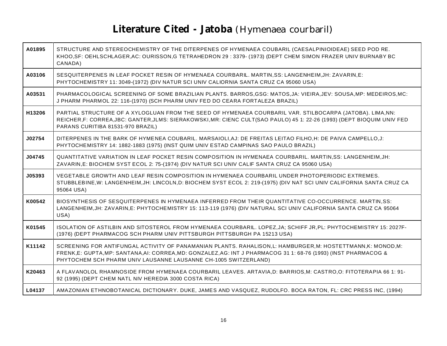### **Literature Cited - Jatoba** *(Hymenaea courbaril)*

| A01895 | STRUCTURE AND STEREOCHEMISTRY OF THE DITERPENES OF HYMENAEA COUBARIL (CAESALPINIOIDEAE) SEED POD RE.<br>KHOO, SF: OEHLSCHLAGER, AC: OURISSON, G TETRAHEDRON 29:3379- (1973) (DEPT CHEM SIMON FRAZER UNIV BURNABY BC<br>CANADA)                                                                 |
|--------|------------------------------------------------------------------------------------------------------------------------------------------------------------------------------------------------------------------------------------------------------------------------------------------------|
| A03106 | SESQUITERPENES IN LEAF POCKET RESIN OF HYMENAEA COURBARIL. MARTIN, SS: LANGENHEIM, JH: ZAVARIN, E:<br>PHYTOCHEMISTRY 11: 3049-(1972) (DIV NATUR SCI UNIV CALIORNIA SANTA CRUZ CA 95060 USA)                                                                                                    |
| A03531 | PHARMACOLOGICAL SCREENING OF SOME BRAZILIAN PLANTS. BARROS, GSG: MATOS, JA: VIEIRA, JEV: SOUSA, MP: MEDEIROS, MC:<br>J PHARM PHARMOL 22: 116-(1970) (SCH PHARM UNIV FED DO CEARA FORTALEZA BRAZIL)                                                                                             |
| H13206 | PARTIAL STRUCTURE OF A XYLOGLUAN FROM THE SEED OF HYMENAEA COURBARIL VAR. STILBOCARPA (JATOBA). LIMA, NN:<br>REICHER,F: CORREA,JBC: GANTER,JLMS: SIERAKOWSKI,MR: CIENC CULT(SAO PAULO) 45 1: 22-26 (1993) (DEPT BIOQUIM UNIV FED<br>PARANS CURITIBA 81531-970 BRAZIL)                          |
| J02754 | DITERPENES IN THE BARK OF HYMENEA COUBARIL. MARSAIOLI, AJ: DE FREITAS LEITAO FILHO, H: DE PAIVA CAMPELLO, J:<br>PHYTOCHEMISTRY 14: 1882-1883 (1975) (INST QUIM UNIV ESTAD CAMPINAS SAO PAULO BRAZIL)                                                                                           |
| J04745 | QUANTITATIVE VARIATION IN LEAF POCKET RESIN COMPOSITION IN HYMENAEA COURBARIL. MARTIN,SS: LANGENHEIM, JH:<br>ZAVARIN, E: BIOCHEM SYST ECOL 2: 75-(1974) (DIV NATUR SCI UNIV CALIF SANTA CRUZ CA 95060 USA)                                                                                     |
| J05393 | VEGETABLE GROWTH AND LEAF RESIN COMPOSITION IN HYMENAEA COURBARIL UNDER PHOTOPERIODIC EXTREMES.<br>STUBBLEBINE, W: LANGENHEIM, JH: LINCOLN, D: BIOCHEM SYST ECOL 2: 219-(1975) (DIV NAT SCI UNIV CALIFORNIA SANTA CRUZ CA<br>95064 USA)                                                        |
| K00542 | BIOSYNTHESIS OF SESQUITERPENES IN HYMENAEA INFERRED FROM THEIR QUANTITATIVE CO-OCCURRENCE. MARTIN, SS:<br>LANGENHEIM, JH: ZAVARIN, E: PHYTOCHEMISTRY 15: 113-119 (1976) (DIV NATURAL SCI UNIV CALIFORNIA SANTA CRUZ CA 95064<br>USA)                                                           |
| K01545 | ISOLATION OF ASTILBIN AND SITOSTEROL FROM HYMENAEA COURBARIL. LOPEZ, JA; SCHIFF JR, PL: PHYTOCHEMISTRY 15: 2027F-<br>(1976) (DEPT PHARMACOG SCH PHARM UNIV PITTSBURGH PITTSBURGH PA 15213 USA)                                                                                                 |
| K11142 | SCREENING FOR ANTIFUNGAL ACTIVITY OF PANAMANIAN PLANTS. RAHALISON,L: HAMBURGER,M: HOSTETTMANN,K: MONOD,M:<br>FRENK,E: GUPTA, MP: SANTANA,AI: CORREA, MD: GONZALEZ, AG: INT J PHARMACOG 31 1: 68-76 (1993) (INST PHARMACOG &<br>PHYTOCHEM SCH PHARM UNIV LAUSANNE LAUSANNE CH-1005 SWITZERLAND) |
| K20463 | A FLAVANOLOL RHAMNOSIDE FROM HYMENAEA COURBARIL LEAVES. ARTAVIA, D: BARRIOS, M: CASTRO, O: FITOTERAPIA 66 1: 91-<br>92 (1995) (DEPT CHEM NATL NIV HEREDIA 3000 COSTA RICA)                                                                                                                     |
| L04137 | AMAZONIAN ETHNOBOTANICAL DICTIONARY. DUKE, JAMES AND VASQUEZ, RUDOLFO. BOCA RATON, FL: CRC PRESS INC, (1994)                                                                                                                                                                                   |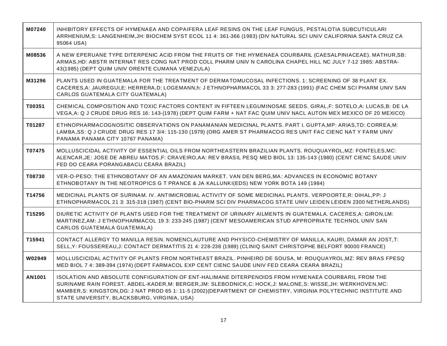| M07240 | INHIBITORY EFFECTS OF HYMENAEA AND COPAIFERA LEAF RESINS ON THE LEAF FUNGUS, PESTALOTIA SUBCUTICULARI<br>ARRHENIUM, S: LANGENHEIM, JH: BIOCHEM SYST ECOL 11 4: 361-366 (1983) (DIV NATURAL SCI UNIV CALIFORNIA SANTA CRUZ CA<br>95064 USA)                                                                                                                                                 |
|--------|--------------------------------------------------------------------------------------------------------------------------------------------------------------------------------------------------------------------------------------------------------------------------------------------------------------------------------------------------------------------------------------------|
| M08536 | A NEW EPERUANE TYPE DITERPENIC ACID FROM THE FRUITS OF THE HYMENAEA COURBARIL (CAESALPINIACEAE). MATHUR, SB:<br>ARMAS, HD: ABSTR INTERNAT RES CONG NAT PROD COLL PHARM UNIV N CAROLINA CHAPEL HILL NC JULY 7-12 1985: ABSTRA-<br>43(1985) (DEPT QUIM UNIV ORENTE CUMANA VENEZULA)                                                                                                          |
| M31296 | PLANTS USED IN GUATEMALA FOR THE TREATMENT OF DERMATOMUCOSAL INFECTIONS. 1: SCREENING OF 38 PLANT EX.<br>CACERES,A: JAUREGUI,E: HERRERA,D: LOGEMANN,h: J ETHNOPHARMACOL 33 3: 277-283 (1991) (FAC CHEM SCI PHARM UNIV SAN<br>CARLOS GUATEMALA CITY GUATEMALA)                                                                                                                              |
| T00351 | CHEMICAL COMPOSITION AND TOXIC FACTORS CONTENT IN FIFTEEN LEGUMINOSAE SEEDS. GIRAL, F: SOTELO, A: LUCAS, B: DE LA<br>VEGA, A: Q J CRUDE DRUG RES 16: 143-(1978) (DEPT QUIM FARM + NAT FAC QUIM UNIV NACL AUTON MEX MEXICO DF 20 MEXICO)                                                                                                                                                    |
| T01287 | ETHNOPHARMACOGNOSITIC OBSERVATIONS ON PANAMANIAN MEDICINAL PLANTS. PART I. GUPTA, MP: ARIAS, TD: CORREA, M:<br>LAMBA, SS: Q J CRUDE DRUG RES 17 3/4: 115-130 (1979) (ORG AMER ST PHARMACOG RES UNIT FAC CIENC NAT Y FARM UNIV<br>PANAMA PANAMA CITY 10767 PANAMA)                                                                                                                          |
| T07475 | MOLLUSCICIDAL ACTIVITY OF ESSENTIAL OILS FROM NORTHEASTERN BRAZILIAN PLANTS. ROUQUAYROL, MZ: FONTELES, MC:<br>ALENCAR, JE: JOSE DE ABREU MATOS, F: CRAVEIRO, AA: REV BRASIL PESQ MED BIOL 13: 135-143 (1980) (CENT CIENC SAUDE UNIV<br>FED DO CEARA PORANGABACU CEARA BRAZIL)                                                                                                              |
| T08730 | VER-O-PESO: THE ETHNOBOTANY OF AN AMAZONIAN MARKET. VAN DEN BERG, MA: ADVANCES IN ECONOMIC BOTANY<br>ETHNOBOTANY IN THE NEOTROPICS G T PRANCE & JA KALLUNKI(EDS) NEW YORK BOTA 149 (1984)                                                                                                                                                                                                  |
| T14756 | MEDICINAL PLANTS OF SURINAM. IV. ANTIMICROBIAL ACTIVITY OF SOME MEDICINAL PLANTS. VERPOORTE,R: DIHAL,PP: J<br>ETHNOPHARMACOL 21 3: 315-318 (1987) (CENT BIO-PHARM SCI DIV PHARMACOG STATE UNIV LEIDEN LEIDEN 2300 NETHERLANDS)                                                                                                                                                             |
| T15295 | DIURETIC ACTIVITY OF PLANTS USED FOR THE TREATMENT OF URINARY AILMENTS IN GUATEMALA. CACERES, A: GIRON, LM:<br>MARTINEZ, AM: J ETHNOPHARMACOL 19 3: 233-245 (1987) (CENT MESOAMERICAN STUD APPROPRIATE TECHNOL UNIV SAN<br>CARLOS GUATEMALA GUATEMALA)                                                                                                                                     |
| T15941 | CONTACT ALLERGY TO MANILLA RESIN. NOMENCLAUTURE AND PHYSICO-CHEMISTRY OF MANILLA, KAURI, DAMAR AN JOST, T:<br>SELL,Y: FOUSSEREAU,J: CONTACT DERMATITIS 21 4: 228-238 (1989) (CLINIQ SAINT CHRISTOPHE BELFORT 90000 FRANCE)                                                                                                                                                                 |
| W02949 | MOLLUSCICIDAL ACTIVITY OF PLANTS FROM NORTHEAST BRAZIL. PINHEIRO DE SOUSA, M: ROUQUAYROL, MZ: REV BRAS FPESQ<br>MED BIOL 7 4: 389-394 (1974) (DEPT FARMACOL EXP CENT CIENC SAUDE UNIV FED CEARA CEARA BRAZIL)                                                                                                                                                                              |
| AN1001 | ISOLATION AND ABSOLUTE CONFIGURATION OF ENT-HALIMANE DITERPENOIDS FROM HYMENAEA COURBARIL FROM THE<br>SURINAME RAIN FOREST. ABDEL-KADER, M: BERGER, JM: SLEBODNICK, C: HOCK, J: MALONE, S: WISSE, JH: WERKHOVEN, MC:<br>MAMBER, S: KINGSTON, DG: J NAT PROD 65 1: 11-5 (2002) (DEPARTMENT OF CHEMISTRY, VIRGINIA POLYTECHNIC INSTITUTE AND<br>STATE UNIVERSITY, BLACKSBURG, VIRGINIA, USA) |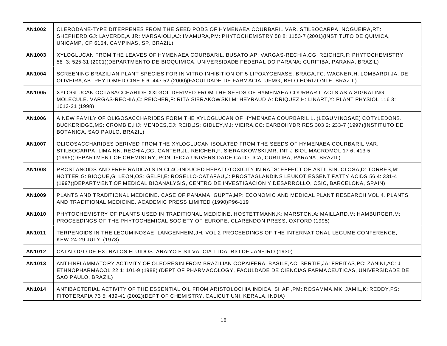| AN1002 | CLERODANE-TYPE DITERPENES FROM THE SEED PODS OF HYMENAEA COURBARIL VAR. STILBOCARPA. NOGUEIRA, RT:<br>SHEPHERD, GJ: LAVERDE, A JR: MARSAIOLI, AJ: IMAMURA, PM: PHYTOCHEMISTRY 58 8: 1153-7 (2001) (INSTITUTO DE QUIMICA,<br>UNICAMP, CP 6154, CAMPINAS, SP, BRAZIL)                                                                            |
|--------|------------------------------------------------------------------------------------------------------------------------------------------------------------------------------------------------------------------------------------------------------------------------------------------------------------------------------------------------|
| AN1003 | XYLOGLUCAN FROM THE LEAVES OF HYMENAEA COURBARIL. BUSATO, AP: VARGAS-RECHIA, CG: REICHER, F: PHYTOCHEMISTRY<br>58 3: 525-31 (2001)(DEPARTMENTO DE BIOQUIMICA, UNIVERSIDADE FEDERAL DO PARANA; CURITIBA, PARANA, BRAZIL)                                                                                                                        |
| AN1004 | SCREENING BRAZILIAN PLANT SPECIES FOR IN VITRO INHIBITION OF 5-LIPOXYGENASE. BRAGA, FC: WAGNER, H: LOMBARDI, JA: DE<br>OLIVEIRA, AB: PHYTOMEDICINE 6 6: 447-52 (2000) (FACULDADE DE FARMACIA, UFMG, BELO HORIZONTE, BRAZIL)                                                                                                                    |
| AN1005 | XYLOGLUCAN OCTASACCHARIDE XXLGOL DERIVED FROM THE SEEDS OF HYMENAEA COURBARIL ACTS AS A SIGNALING<br>MOLECULE. VARGAS-RECHIA,C: REICHER,F: RITA SIERAKOWSKI,M: HEYRAUD,A: DRIQUEZ,H: LINART,Y: PLANT PHYSIOL 116 3:<br>1013-21 (1998)                                                                                                          |
| AN1006 | A NEW FAMILY OF OLIGOSACCHARIDES FORM THE XYLOGLUCAN OF HYMENAEA COURBARIL L. (LEGUMINOSAE) COTYLEDONS.<br>BUCKERIDGE, MS: CROMBIE, HJ: MENDES, CJ: REID, JS: GIDLEY, MJ: VIEIRA, CC: CARBOHYDR RES 303 2: 233-7 (1997) (INSTITUTO DE<br>BOTANICA, SAO PAULO, BRAZIL)                                                                          |
| AN1007 | OLIGOSACCHARIDES DERIVED FROM THE XYLOGLUCAN ISOLATED FROM THE SEEDS OF HYMENAEA COURBARIL VAR.<br>STILBOCARPA. LIMA, NN: RECHIA, CG: GANTER, JL: REICHER, F: SIERAKKOWSKI, MR: INT J BIOL MACROMOL 17 6: 413-5<br>(1995)(DEPARTMENT OF CHEMISTRY, PONTIFICIA UNIVERSIDADE CATOLICA, CURITIBA, PARANA, BRAZIL)                                 |
| AN1008 | PROSTANOIDS AND FREE RADICALS IN CL4C-INDUCED HEPATOTOXICITY IN RATS: EFFECT OF ASTILBIN. CLOSA,D: TORRES,M:<br>HOTTER, G: BIOQUE, G: LEON, OS: GELPI, E: ROSELLO-CATAFAU, J: PROSTAGLANDINS LEUKOT ESSENT FATTY ACIDS 56 4: 331-4<br>(1997) (DEPARTMENT OF MEDICAL BIOANALYSIS, CENTRO DE INVESTIGACION Y DESARROLLO, CSIC, BARCELONA, SPAIN) |
| AN1009 | PLANTS AND TRADITIONAL MEDICINE. CASE OF PANAMA. GUPTA, MP: ECONOMIC AND MEDICAL PLANT RESEARCH VOL 4. PLANTS<br>AND TRADITIONAL MEDICINE. ACADEMIC PRESS LIMITED (1990)P96-119                                                                                                                                                                |
| AN1010 | PHYTOCHEMISTRY OF PLANTS USED IN TRADITIONAL MEDICINE. HOSTETTMANN, K: MARSTON, A: MAILLARD, M: HAMBURGER, M:<br>PROCEEDINGS OF THE PHYTOCHEMICAL SOCIETY OF EUROPE. CLARENDON PRESS, OXFORD (1995)                                                                                                                                            |
| AN1011 | TERPENOIDS IN THE LEGUMINOSAE. LANGENHEIM, JH: VOL 2 PROCEEDINGS OF THE INTERNATIONAL LEGUME CONFERENCE,<br>KEW 24-29 JULY, (1978)                                                                                                                                                                                                             |
| AN1012 | CATALOGO DE EXTRATOS FLUIDOS. ARAIYO E SILVA. CIA LTDA. RIO DE JANEIRO (1930)                                                                                                                                                                                                                                                                  |
| AN1013 | ANTI-INFLAMMATORY ACTIVITY OF OLEORESIN FROM BRAZILIAN COPAIFERA. BASILE, AC: SERTIE, JA: FREITAS, PC: ZANINI, AC: J<br>ETHNOPHARMACOL 22 1: 101-9 (1988) (DEPT OF PHARMACOLOGY, FACULDADE DE CIENCIAS FARMACEUTICAS, UNIVERSIDADE DE<br>SAO PAULO, BRAZIL)                                                                                    |
| AN1014 | ANTIBACTERIAL ACTIVITY OF THE ESSENTIAL OIL FROM ARISTOLOCHIA INDICA. SHAFI, PM: ROSAMMA, MK: JAMIL, K: REDDY, PS:<br>FITOTERAPIA 73 5: 439-41 (2002) (DEPT OF CHEMISTRY, CALICUT UNI, KERALA, INDIA)                                                                                                                                          |
|        |                                                                                                                                                                                                                                                                                                                                                |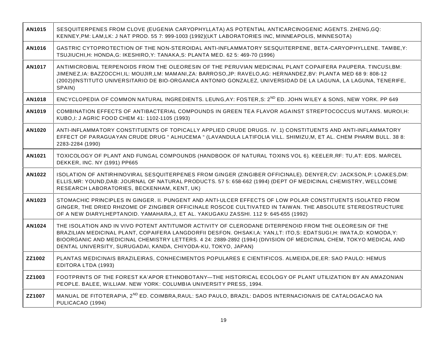| AN1015 | SESQUITERPENES FROM CLOVE (EUGENIA CARYOPHYLLATA) AS POTENTIAL ANTICARCINOGENIC AGENTS. ZHENG, GQ:<br>KENNEY, PM: LAM, LK: J NAT PROD. 55 7: 999-1003 (1992)(LKT LABORATORIES INC, MINNEAPOLIS, MINNESOTA)                                                                                                                                                                                                             |
|--------|------------------------------------------------------------------------------------------------------------------------------------------------------------------------------------------------------------------------------------------------------------------------------------------------------------------------------------------------------------------------------------------------------------------------|
| AN1016 | GASTRIC CYTOPROTECTION OF THE NON-STEROIDAL ANTI-INFLAMMATORY SESQUITERPENE, BETA-CARYOPHYLLENE. TAMBE, Y:<br>TSUJIUCHI, H: HONDA, G: IKESHIRO, Y: TANAKA, S: PLANTA MED. 62 5: 469-70 (1996)                                                                                                                                                                                                                          |
| AN1017 | ANTIMICROBIAL TERPENOIDS FROM THE OLEORESIN OF THE PERUVIAN MEDICINAL PLANT COPAIFERA PAUPERA. TINCUSI, BM:<br>JIMENEZ, IA: BAZZOCCHI, IL: MOUJIR, LM: MAMANI, ZA: BARROSO, JP: RAVELO, AG: HERNANDEZ, BV: PLANTA MED 68 9: 808-12<br>(2002) (INSTITUTO UNIVERSITARIO DE BIO-ORGANICA ANTONIO GONZALEZ, UNIVERSIDAD DE LA LAGUNA, LA LAGUNA, TENERIFE,<br>SPAIN)                                                       |
| AN1018 | ENCYCLOPEDIA OF COMMON NATURAL INGREDIENTS. LEUNG, AY: FOSTER, S: 2 <sup>ND</sup> ED. JOHN WILEY & SONS, NEW YORK. PP 649                                                                                                                                                                                                                                                                                              |
| AN1019 | COMBINATION EFFECTS OF ANTIBACTERIAL COMPOUNDS IN GREEN TEA FLAVOR AGAINST STREPTOCOCCUS MUTANS. MUROI, H:<br>KUBO, I: J AGRIC FOOD CHEM 41: 1102-1105 (1993)                                                                                                                                                                                                                                                          |
| AN1020 | ANTI-INFLAMMATORY CONSTITUENTS OF TOPICALLY APPLIED CRUDE DRUGS. IV. 1) CONSTITUENTS AND ANTI-INFLAMMATORY<br>EFFECT OF PARAGUAYAN CRUDE DRUG " ALHUCEMA " (LAVANDULA LATIFOLIA VILL. SHIMIZU, M, ET AL. CHEM PHARM BULL. 38 8:<br>2283-2284 (1990)                                                                                                                                                                    |
| AN1021 | TOXICOLOGY OF PLANT AND FUNGAL COMPOUNDS (HANDBOOK OF NATURAL TOXINS VOL 6). KEELER, RF: TU, AT: EDS. MARCEL<br>DEKKER, INC. NY (1991) PP665                                                                                                                                                                                                                                                                           |
| AN1022 | ISOLATION OF ANTIRHINOVIRAL SESQUITERPENES FROM GINGER (ZINGIBER OFFICINALE). DENYER, CV: JACKSON, P: LOAKES, DM:<br>ELLIS, MR: YOUND, DAB: JOURNAL OF NATURAL PRODUCTS. 57 5: 658-662 (1994) (DEPT OF MEDICINAL CHEMISTRY, WELLCOME<br>RESEARCH LABORATORIES, BECKENHAM, KENT, UK)                                                                                                                                    |
| AN1023 | STOMACHIC PRINCIPLES IN GINGER. II. PUNGENT AND ANTI-ULCER EFFECTS OF LOW POLAR CONSTITUENTS ISOLATED FROM<br>GINGER, THE DRIED RHIZOME OF ZINGIBER OFFICINALE ROSCOE CULTIVATED IN TAIWAN. THE ABSOLUTE STEREOSTRUCTURE<br>OF A NEW DIARYLHEPTANOID. YAMAHARA, J, ET AL. YAKUGAKU ZASSHI. 112 9: 645-655 (1992)                                                                                                       |
| AN1024 | THE ISOLATION AND IN VIVO POTENT ANTITUMOR ACTIVITY OF CLERODANE DITERPENOID FROM THE OLEORESIN OF THE<br>BRAZILIAN MEDICINAL PLANT, COPAIFERA LANGDORFII DESFON. OHSAKI, A: YAN, LT: ITO, S: EDATSUGI, H: IWATA, D: KOMODA, Y:<br>BIOORGANIC AND MEDICINAL CHEMISTRY LETTERS. 4 24: 2889-2892 (1994) (DIVISION OF MEDICINAL CHEM, TOKYO MEDICAL AND<br>DENTAL UNIVERSITY, SURUGADAI, KANDA, CHIYODA-KU, TOKYO, JAPAN) |
| ZZ1002 | PLANTAS MEDICINAIS BRAZILEIRAS, CONHECIMENTOS POPULARES E CIENTIFICOS. ALMEIDA, DE, ER: SAO PAULO: HEMUS<br>EDITORA LTDA (1993)                                                                                                                                                                                                                                                                                        |
| ZZ1003 | FOOTPRINTS OF THE FOREST KA'APOR ETHNOBOTANY-THE HISTORICAL ECOLOGY OF PLANT UTILIZATION BY AN AMAZONIAN<br>PEOPLE. BALEE, WILLIAM. NEW YORK: COLUMBIA UNIVERSITY PRESS, 1994.                                                                                                                                                                                                                                         |
| ZZ1007 | MANUAL DE FITOTERAPIA, 2 <sup>ND</sup> ED. COIMBRA, RAUL: SAO PAULO, BRAZIL: DADOS INTERNACIONAIS DE CATALOGACAO NA<br>PULICACAO (1994)                                                                                                                                                                                                                                                                                |